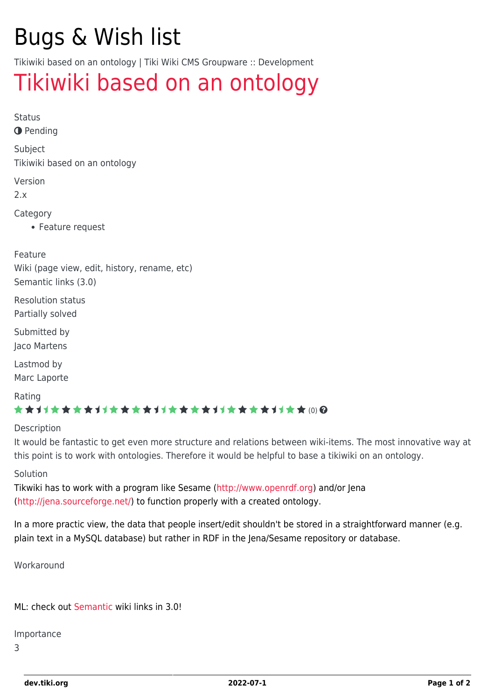# Bugs & Wish list

Tikiwiki based on an ontology | Tiki Wiki CMS Groupware :: Development

## [Tikiwiki based on an ontology](https://dev.tiki.org/item732-Tikiwiki-based-on-an-ontology)

Status

**O** Pending

Subject

Tikiwiki based on an ontology

Version

2.x

Category

Feature request

Feature

Wiki (page view, edit, history, rename, etc) Semantic links (3.0)

Resolution status Partially solved

Submitted by Jaco Martens

Lastmod by Marc Laporte

Rating

#### \*\*\*\*\*\*\*\*\*\*\*\*\*\*\*\*\*\*\*\*\*\*\*\*\*\*\*\*\*\*

Description

It would be fantastic to get even more structure and relations between wiki-items. The most innovative way at this point is to work with ontologies. Therefore it would be helpful to base a tikiwiki on an ontology.

#### Solution

Tikwiki has to work with a program like Sesame (<http://www.openrdf.org>) and/or Jena (<http://jena.sourceforge.net/>) to function properly with a created ontology.

In a more practic view, the data that people insert/edit shouldn't be stored in a straightforward manner (e.g. plain text in a MySQL database) but rather in RDF in the Jena/Sesame repository or database.

Workaround

ML: check out [Semantic](https://dev.tiki.org/Semantic) wiki links in 3.0!

Importance

3